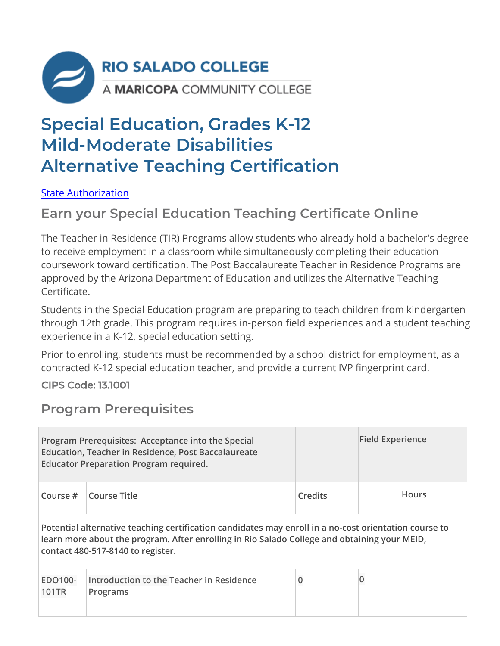

# **Special Education, Grades K-12 Mild-Moderate Disabilities Alternative Teaching Certification**

State Authorization

### **Earn your Special Education Teaching Certificate Online**

The Teacher in Residence (TIR) Programs allow students who already hold a bachelor's degree to receive employment in a classroom while simultaneously completing their education coursework toward certification. The Post Baccalaureate Teacher in Residence Programs are approved by the Arizona Department of Education and utilizes the Alternative Teaching Certificate.

Students in the Special Education program are preparing to teach children from kindergarten through 12th grade. This program requires in-person field experiences and a student teaching experience in a K-12, special education setting.

Prior to enrolling, students must be recommended by a school district for employment, as a contracted K-12 special education teacher, and provide a current IVP fingerprint card.

CIPS Code: 13.1001

### **Program Prerequisites**

|                         | Program Prerequisites: Acceptance into the Special<br><b>Education, Teacher in Residence, Post Baccalaureate</b><br><b>Educator Preparation Program required.</b>                                                                          |                | <b>Field Experience</b> |
|-------------------------|--------------------------------------------------------------------------------------------------------------------------------------------------------------------------------------------------------------------------------------------|----------------|-------------------------|
| Course $#$              | <b>Course Title</b>                                                                                                                                                                                                                        | <b>Credits</b> | <b>Hours</b>            |
|                         | Potential alternative teaching certification candidates may enroll in a no-cost orientation course to<br>learn more about the program. After enrolling in Rio Salado College and obtaining your MEID,<br>contact 480-517-8140 to register. |                |                         |
| EDO100-<br><b>101TR</b> | Introduction to the Teacher in Residence<br>Programs                                                                                                                                                                                       | $\pmb{0}$      |                         |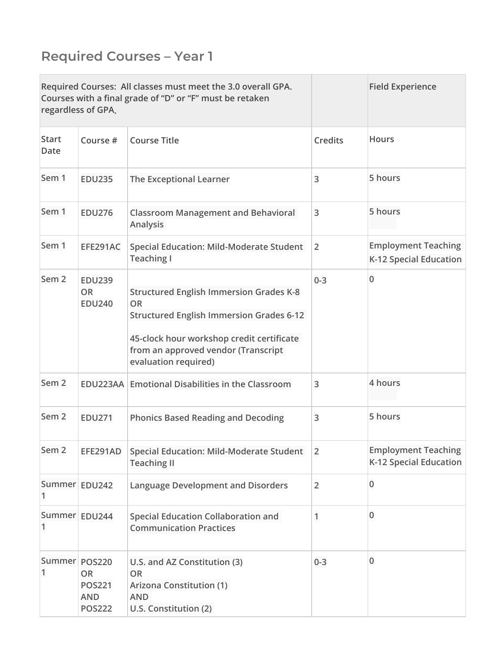## **Required Courses – Year 1**

|                      | regardless of GPA.                                                         | Required Courses: All classes must meet the 3.0 overall GPA.<br>Courses with a final grade of "D" or "F" must be retaken                                                                                                   |                | <b>Field Experience</b>                              |
|----------------------|----------------------------------------------------------------------------|----------------------------------------------------------------------------------------------------------------------------------------------------------------------------------------------------------------------------|----------------|------------------------------------------------------|
| <b>Start</b><br>Date | Course #                                                                   | <b>Course Title</b>                                                                                                                                                                                                        | <b>Credits</b> | <b>Hours</b>                                         |
| Sem 1                | <b>EDU235</b>                                                              | The Exceptional Learner                                                                                                                                                                                                    | 3              | 5 hours                                              |
| Sem 1                | <b>EDU276</b>                                                              | <b>Classroom Management and Behavioral</b><br>Analysis                                                                                                                                                                     | 3              | 5 hours                                              |
| Sem 1                | EFE291AC                                                                   | <b>Special Education: Mild-Moderate Student</b><br><b>Teaching I</b>                                                                                                                                                       | $\overline{2}$ | <b>Employment Teaching</b><br>K-12 Special Education |
| Sem <sub>2</sub>     | <b>EDU239</b><br>OR<br><b>EDU240</b>                                       | <b>Structured English Immersion Grades K-8</b><br><b>OR</b><br><b>Structured English Immersion Grades 6-12</b><br>45-clock hour workshop credit certificate<br>from an approved vendor (Transcript<br>evaluation required) | $0 - 3$        | $\overline{0}$                                       |
| Sem <sub>2</sub>     | EDU223AA                                                                   | <b>Emotional Disabilities in the Classroom</b>                                                                                                                                                                             | 3              | 4 hours                                              |
| Sem <sub>2</sub>     | <b>EDU271</b>                                                              | <b>Phonics Based Reading and Decoding</b>                                                                                                                                                                                  | 3              | 5 hours                                              |
| Sem <sub>2</sub>     | EFE291AD                                                                   | <b>Special Education: Mild-Moderate Student</b><br><b>Teaching II</b>                                                                                                                                                      | $\overline{2}$ | <b>Employment Teaching</b><br>K-12 Special Education |
| 1                    | Summer EDU242                                                              | <b>Language Development and Disorders</b>                                                                                                                                                                                  | $\overline{2}$ | $\bf{0}$                                             |
| 1                    | Summer EDU244                                                              | <b>Special Education Collaboration and</b><br><b>Communication Practices</b>                                                                                                                                               | 1              | $\bf{0}$                                             |
| 1                    | Summer POS220<br><b>OR</b><br><b>POS221</b><br><b>AND</b><br><b>POS222</b> | U.S. and AZ Constitution (3)<br><b>OR</b><br><b>Arizona Constitution (1)</b><br><b>AND</b><br>U.S. Constitution (2)                                                                                                        | $0 - 3$        | $\bf{0}$                                             |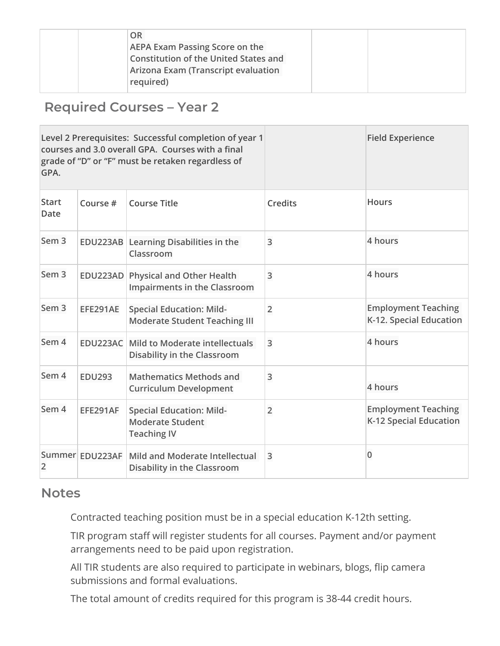| OR                                           |  |  |
|----------------------------------------------|--|--|
| AEPA Exam Passing Score on the               |  |  |
| <b>Constitution of the United States and</b> |  |  |
| Arizona Exam (Transcript evaluation          |  |  |
| required)                                    |  |  |

### **Required Courses – Year 2**

| GPA.                 |                 | Level 2 Prerequisites: Successful completion of year 1<br>courses and 3.0 overall GPA. Courses with a final<br>grade of "D" or "F" must be retaken regardless of |                | <b>Field Experience</b>                               |
|----------------------|-----------------|------------------------------------------------------------------------------------------------------------------------------------------------------------------|----------------|-------------------------------------------------------|
| <b>Start</b><br>Date | Course #        | <b>Course Title</b>                                                                                                                                              | <b>Credits</b> | <b>Hours</b>                                          |
| Sem <sub>3</sub>     |                 | EDU223AB Learning Disabilities in the<br>Classroom                                                                                                               | 3              | 4 hours                                               |
| Sem <sub>3</sub>     |                 | EDU223AD Physical and Other Health<br><b>Impairments in the Classroom</b>                                                                                        | $\overline{3}$ | 4 hours                                               |
| Sem <sub>3</sub>     | EFE291AE        | <b>Special Education: Mild-</b><br><b>Moderate Student Teaching III</b>                                                                                          | $\overline{2}$ | <b>Employment Teaching</b><br>K-12. Special Education |
| Sem 4                |                 | <b>EDU223AC</b> Mild to Moderate intellectuals<br><b>Disability in the Classroom</b>                                                                             | 3              | 4 hours                                               |
| Sem 4                | <b>EDU293</b>   | <b>Mathematics Methods and</b><br><b>Curriculum Development</b>                                                                                                  | 3              | 4 hours                                               |
| Sem 4                | EFE291AF        | <b>Special Education: Mild-</b><br><b>Moderate Student</b><br><b>Teaching IV</b>                                                                                 | $\overline{2}$ | <b>Employment Teaching</b><br>K-12 Special Education  |
| $\overline{2}$       | Summer EDU223AF | Mild and Moderate Intellectual<br>Disability in the Classroom                                                                                                    | $\overline{3}$ | 0                                                     |

#### **Notes**

Contracted teaching position must be in a special education K-12th setting.

TIR program staff will register students for all courses. Payment and/or payment arrangements need to be paid upon registration.

All TIR students are also required to participate in webinars, blogs, flip camera submissions and formal evaluations.

The total amount of credits required for this program is 38-44 credit hours.